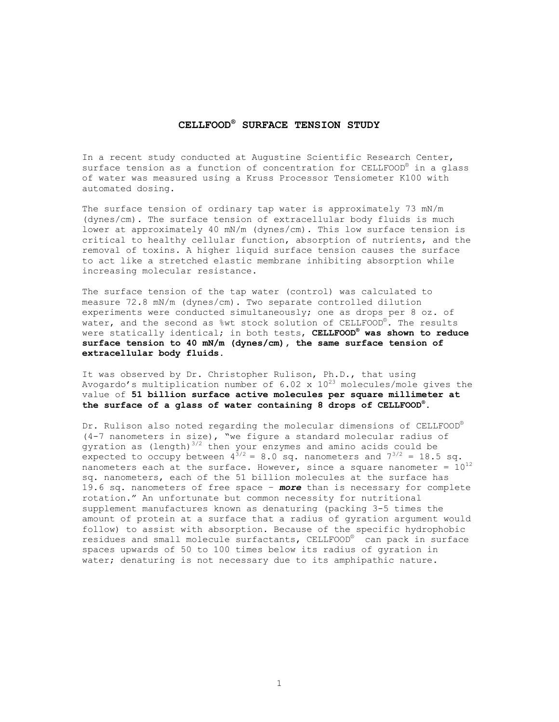## **CELLFOOD® SURFACE TENSION STUDY**

In a recent study conducted at Augustine Scientific Research Center, surface tension as a function of concentration for CELLFOOD<sup>®</sup> in a glass of water was measured using a Kruss Processor Tensiometer K100 with automated dosing.

The surface tension of ordinary tap water is approximately 73 mN/m (dynes/cm). The surface tension of extracellular body fluids is much lower at approximately 40 mN/m (dynes/cm). This low surface tension is critical to healthy cellular function, absorption of nutrients, and the removal of toxins. A higher liquid surface tension causes the surface to act like a stretched elastic membrane inhibiting absorption while increasing molecular resistance.

The surface tension of the tap water (control) was calculated to measure 72.8 mN/m (dynes/cm). Two separate controlled dilution experiments were conducted simultaneously; one as drops per 8 oz. of water, and the second as %wt stock solution of CELLFOOD®. The results were statically identical; in both tests, **CELLFOOD® was shown to reduce surface tension to 40 mN/m (dynes/cm), the same surface tension of extracellular body fluids.**

It was observed by Dr. Christopher Rulison, Ph.D., that using Avogardo's multiplication number of 6.02 x  $10^{23}$  molecules/mole gives the value of **51 billion surface active molecules per square millimeter at the surface of a glass of water containing 8 drops of CELLFOOD® .** 

Dr. Rulison also noted regarding the molecular dimensions of CELLFOOD® (4-7 nanometers in size), "we figure a standard molecular radius of gyration as (length) $3/2$  then your enzymes and amino acids could be expected to occupy between  $4^{3/2} = 8.0$  sq. nanometers and  $7^{3/2} = 18.5$  sq. nanometers each at the surface. However, since a square nanometer =  $10^{12}$ sq. nanometers, each of the 51 billion molecules at the surface has 19.6 sq. nanometers of free space – *more* than is necessary for complete rotation." An unfortunate but common necessity for nutritional supplement manufactures known as denaturing (packing 3-5 times the amount of protein at a surface that a radius of gyration argument would follow) to assist with absorption. Because of the specific hydrophobic residues and small molecule surfactants, CELLFOOD® can pack in surface spaces upwards of 50 to 100 times below its radius of gyration in water; denaturing is not necessary due to its amphipathic nature.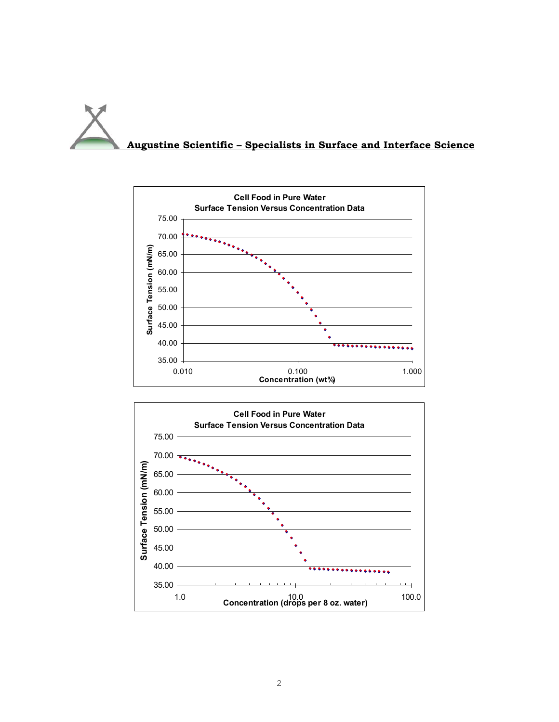